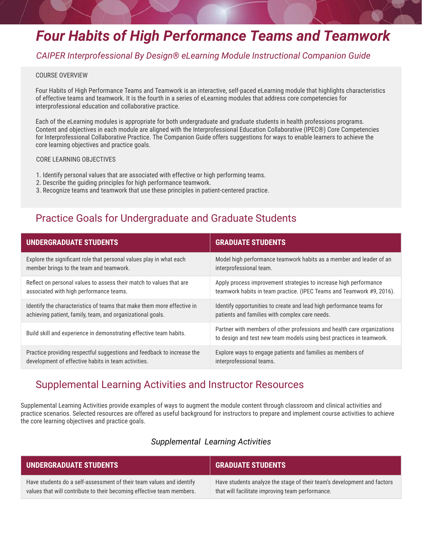# *Four Habits of High Performance Teams and Teamwork*

## *CAIPER Interprofessional By Design® eLearning Module Instructional Companion Guide*

#### COURSE OVERVIEW

Four Habits of High Performance Teams and Teamwork is an interactive, self-paced eLearning module that highlights characteristics of effective teams and teamwork. It is the fourth in a series of eLearning modules that address core competencies for interprofessional education and collaborative practice.

Each of the eLearning modules is appropriate for both undergraduate and graduate students in health professions programs. Content and objectives in each module are aligned with the Interprofessional Education Collaborative (IPEC®) Core Competencies for Interprofessional Collaborative Practice. The Companion Guide offers suggestions for ways to enable learners to achieve the core learning objectives and practice goals.

### CORE LEARNING OBJECTIVES

- 1. Identify personal values that are associated with effective or high performing teams.
- 2. Describe the guiding principles for high performance teamwork.
- 3. Recognize teams and teamwork that use these principles in patient-centered practice.

## Practice Goals for Undergraduate and Graduate Students

| <b>UNDERGRADUATE STUDENTS</b>                                          | <b>GRADUATE STUDENTS</b>                                                                                                                        |
|------------------------------------------------------------------------|-------------------------------------------------------------------------------------------------------------------------------------------------|
| Explore the significant role that personal values play in what each    | Model high performance teamwork habits as a member and leader of an                                                                             |
| member brings to the team and teamwork.                                | interprofessional team.                                                                                                                         |
| Reflect on personal values to assess their match to values that are    | Apply process improvement strategies to increase high performance                                                                               |
| associated with high performance teams.                                | teamwork habits in team practice. (IPEC Teams and Teamwork #9, 2016).                                                                           |
| Identify the characteristics of teams that make them more effective in | Identify opportunities to create and lead high performance teams for                                                                            |
| achieving patient, family, team, and organizational goals.             | patients and families with complex care needs.                                                                                                  |
| Build skill and experience in demonstrating effective team habits.     | Partner with members of other professions and health care organizations<br>to design and test new team models using best practices in teamwork. |
| Practice providing respectful suggestions and feedback to increase the | Explore ways to engage patients and families as members of                                                                                      |
| development of effective habits in team activities.                    | interprofessional teams.                                                                                                                        |

## Supplemental Learning Activities and Instructor Resources

Supplemental Learning Activities provide examples of ways to augment the module content through classroom and clinical activities and practice scenarios. Selected resources are offered as useful background for instructors to prepare and implement course activities to achieve the core learning objectives and practice goals.

### *Supplemental Learning Activities*

| UNDERGRADUATE STUDENTS                                                | <b>GRADUATE STUDENTS</b>                                                |
|-----------------------------------------------------------------------|-------------------------------------------------------------------------|
| Have students do a self-assessment of their team values and identify  | Have students analyze the stage of their team's development and factors |
| values that will contribute to their becoming effective team members. | that will facilitate improving team performance.                        |